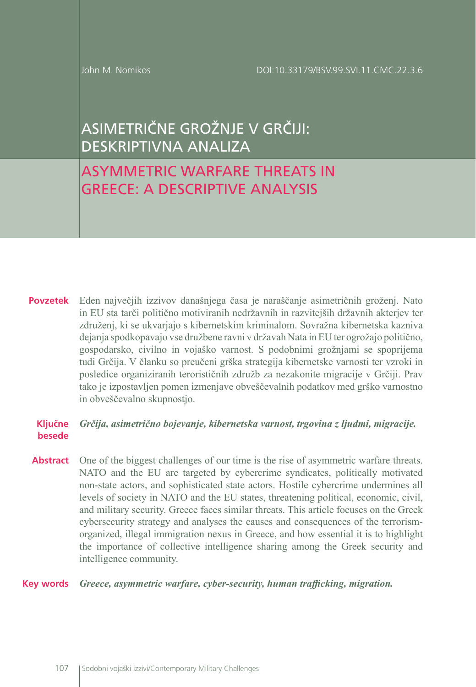John M. Nomikos

# ASIMETRIČNE GROŽNJE V GRČIJI: DESKRIPTIVNA ANALIZA

# ASYMMETRIC WARFARE THREATS IN GREECE: A DESCRIPTIVE ANALYSIS

Eden največjih izzivov današnjega časa je naraščanje asimetričnih groženj. Nato **Povzetek** in EU sta tarči politično motiviranih nedržavnih in razvitejših državnih akterjev ter združenj, ki se ukvarjajo s kibernetskim kriminalom. Sovražna kibernetska kazniva dejanja spodkopavajo vse družbene ravni v državah Nata in EU ter ogrožajo politično, gospodarsko, civilno in vojaško varnost. S podobnimi grožnjami se spoprijema tudi Grčija. V članku so preučeni grška strategija kibernetske varnosti ter vzroki in posledice organiziranih terorističnih združb za nezakonite migracije v Grčiji. Prav tako je izpostavljen pomen izmenjave obveščevalnih podatkov med grško varnostno in obveščevalno skupnostjo.

#### *Grčija, asimetrično bojevanje, kibernetska varnost, trgovina z ljudmi, migracije.* **Ključne besede**

Abstract One of the biggest challenges of our time is the rise of asymmetric warfare threats. NATO and the EU are targeted by cybercrime syndicates, politically motivated non-state actors, and sophisticated state actors. Hostile cybercrime undermines all levels of society in NATO and the EU states, threatening political, economic, civil, and military security. Greece faces similar threats. This article focuses on the Greek cybersecurity strategy and analyses the causes and consequences of the terrorismorganized, illegal immigration nexus in Greece, and how essential it is to highlight the importance of collective intelligence sharing among the Greek security and intelligence community.

### *Greece, asymmetric warfare, cyber-security, human trafficking, migration.* **Key words**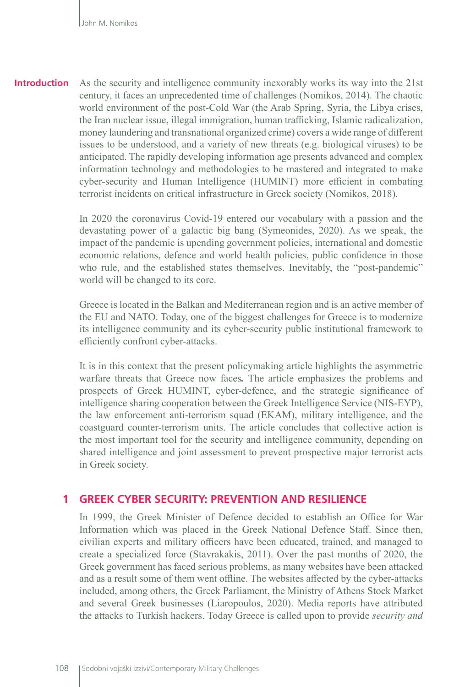**Introduction** As the security and intelligence community inexorably works its way into the 21st century, it faces an unprecedented time of challenges (Nomikos, 2014). The chaotic world environment of the post-Cold War (the Arab Spring, Syria, the Libya crises, the Iran nuclear issue, illegal immigration, human trafficking, Islamic radicalization, money laundering and transnational organized crime) covers a wide range of different issues to be understood, and a variety of new threats (e.g. biological viruses) to be anticipated. The rapidly developing information age presents advanced and complex information technology and methodologies to be mastered and integrated to make cyber-security and Human Intelligence (HUMINT) more efficient in combating terrorist incidents on critical infrastructure in Greek society (Nomikos, 2018).

> In 2020 the coronavirus Covid-19 entered our vocabulary with a passion and the devastating power of a galactic big bang (Symeonides, 2020). As we speak, the impact of the pandemic is upending government policies, international and domestic economic relations, defence and world health policies, public confidence in those who rule, and the established states themselves. Inevitably, the "post-pandemic" world will be changed to its core.

> Greece is located in the Balkan and Mediterranean region and is an active member of the EU and NATO. Today, one of the biggest challenges for Greece is to modernize its intelligence community and its cyber-security public institutional framework to efficiently confront cyber-attacks.

> It is in this context that the present policymaking article highlights the asymmetric warfare threats that Greece now faces*.* The article emphasizes the problems and prospects of Greek HUMINT, cyber-defence, and the strategic significance of intelligence sharing cooperation between the Greek Intelligence Service (NIS-EYP), the law enforcement anti-terrorism squad (EKAM), military intelligence, and the coastguard counter-terrorism units. The article concludes that collective action is the most important tool for the security and intelligence community, depending on shared intelligence and joint assessment to prevent prospective major terrorist acts in Greek society.

### **1 GREEK CYBER SECURITY: PREVENTION AND RESILIENCE**

In 1999, the Greek Minister of Defence decided to establish an Office for War Information which was placed in the Greek National Defence Staff. Since then, civilian experts and military officers have been educated, trained, and managed to create a specialized force (Stavrakakis, 2011). Over the past months of 2020, the Greek government has faced serious problems, as many websites have been attacked and as a result some of them went offline. The websites affected by the cyber-attacks included, among others, the Greek Parliament, the Ministry of Athens Stock Market and several Greek businesses (Liaropoulos, 2020). Media reports have attributed the attacks to Turkish hackers. Today Greece is called upon to provide *security and*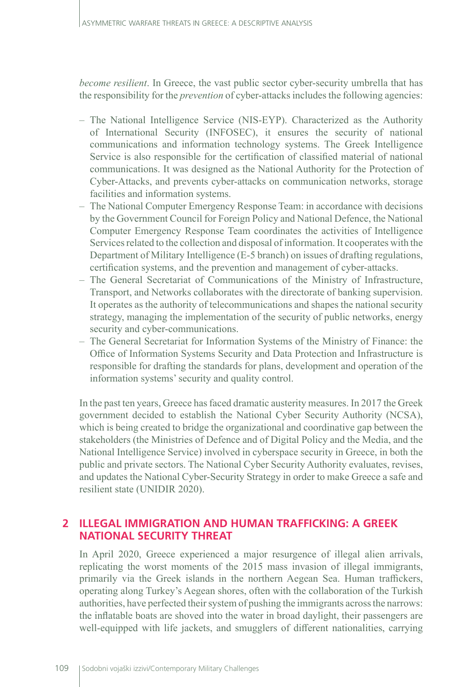*become resilient*. In Greece, the vast public sector cyber-security umbrella that has the responsibility for the *prevention* of cyber-attacks includes the following agencies:

- The National Intelligence Service (NIS-EYP). Characterized as the Authority of International Security (INFOSEC), it ensures the security of national communications and information technology systems. The Greek Intelligence Service is also responsible for the certification of classified material of national communications. It was designed as the National Authority for the Protection of Cyber-Attacks, and prevents cyber-attacks on communication networks, storage facilities and information systems.
- The National Computer Emergency Response Team: in accordance with decisions by the Government Council for Foreign Policy and National Defence, the National Computer Emergency Response Team coordinates the activities of Intelligence Services related to the collection and disposal of information. It cooperates with the Department of Military Intelligence (E-5 branch) on issues of drafting regulations, certification systems, and the prevention and management of cyber-attacks.
- The General Secretariat of Communications of the Ministry of Infrastructure, Transport, and Networks collaborates with the directorate of banking supervision. It operates as the authority of telecommunications and shapes the national security strategy, managing the implementation of the security of public networks, energy security and cyber-communications.
- The General Secretariat for Information Systems of the Ministry of Finance: the Office of Information Systems Security and Data Protection and Infrastructure is responsible for drafting the standards for plans, development and operation of the information systems' security and quality control.

In the past ten years, Greece has faced dramatic austerity measures. In 2017 the Greek government decided to establish the National Cyber Security Authority (NCSA), which is being created to bridge the organizational and coordinative gap between the stakeholders (the Ministries of Defence and of Digital Policy and the Media, and the National Intelligence Service) involved in cyberspace security in Greece, in both the public and private sectors. The National Cyber Security Authority evaluates, revises, and updates the National Cyber-Security Strategy in order to make Greece a safe and resilient state (UNIDIR 2020).

## **2 ILLEGAL IMMIGRATION AND HUMAN TRAFFICKING: A GREEK NATIONAL SECURITY THREAT**

In April 2020, Greece experienced a major resurgence of illegal alien arrivals, replicating the worst moments of the 2015 mass invasion of illegal immigrants, primarily via the Greek islands in the northern Aegean Sea. Human traffickers, operating along Turkey's Aegean shores, often with the collaboration of the Turkish authorities, have perfected their system of pushing the immigrants across the narrows: the inflatable boats are shoved into the water in broad daylight, their passengers are well-equipped with life jackets, and smugglers of different nationalities, carrying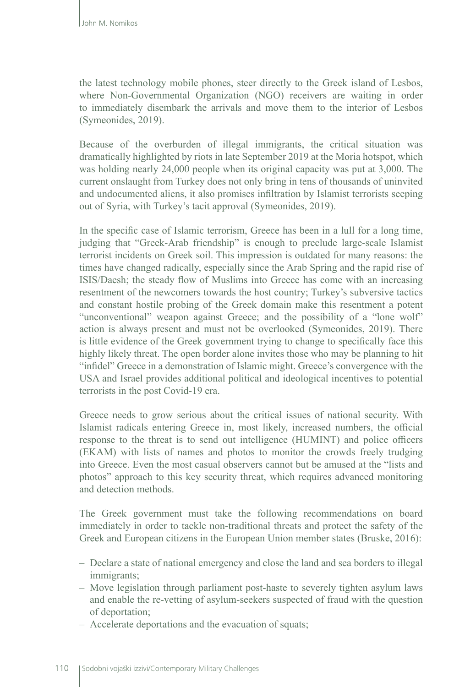the latest technology mobile phones, steer directly to the Greek island of Lesbos, where Non-Governmental Organization (NGO) receivers are waiting in order to immediately disembark the arrivals and move them to the interior of Lesbos (Symeonides, 2019).

Because of the overburden of illegal immigrants, the critical situation was dramatically highlighted by riots in late September 2019 at the Moria hotspot, which was holding nearly 24,000 people when its original capacity was put at 3,000. The current onslaught from Turkey does not only bring in tens of thousands of uninvited and undocumented aliens, it also promises infiltration by Islamist terrorists seeping out of Syria, with Turkey's tacit approval (Symeonides, 2019).

In the specific case of Islamic terrorism, Greece has been in a lull for a long time, judging that "Greek-Arab friendship" is enough to preclude large-scale Islamist terrorist incidents on Greek soil. This impression is outdated for many reasons: the times have changed radically, especially since the Arab Spring and the rapid rise of ISIS/Daesh; the steady flow of Muslims into Greece has come with an increasing resentment of the newcomers towards the host country; Turkey's subversive tactics and constant hostile probing of the Greek domain make this resentment a potent "unconventional" weapon against Greece; and the possibility of a "lone wolf" action is always present and must not be overlooked (Symeonides, 2019). There is little evidence of the Greek government trying to change to specifically face this highly likely threat. The open border alone invites those who may be planning to hit "infidel" Greece in a demonstration of Islamic might. Greece's convergence with the USA and Israel provides additional political and ideological incentives to potential terrorists in the post Covid-19 era.

Greece needs to grow serious about the critical issues of national security. With Islamist radicals entering Greece in, most likely, increased numbers, the official response to the threat is to send out intelligence (HUMINT) and police officers (EKAM) with lists of names and photos to monitor the crowds freely trudging into Greece. Even the most casual observers cannot but be amused at the "lists and photos" approach to this key security threat, which requires advanced monitoring and detection methods.

The Greek government must take the following recommendations on board immediately in order to tackle non-traditional threats and protect the safety of the Greek and European citizens in the European Union member states (Bruske, 2016):

- Declare a state of national emergency and close the land and sea borders to illegal immigrants;
- Move legislation through parliament post-haste to severely tighten asylum laws and enable the re-vetting of asylum-seekers suspected of fraud with the question of deportation;
- Accelerate deportations and the evacuation of squats;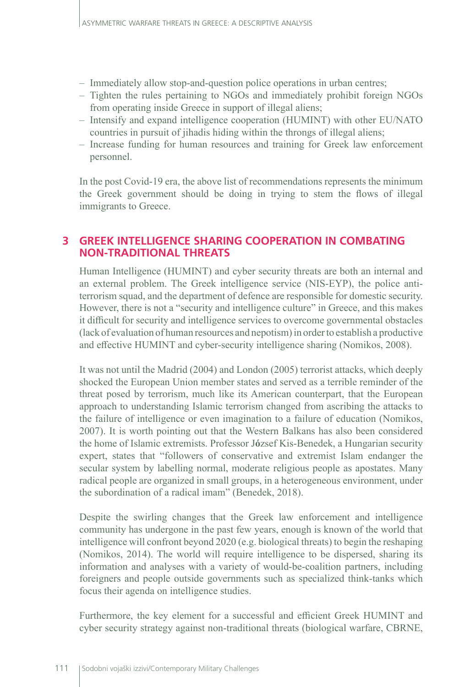- Immediately allow stop-and-question police operations in urban centres;
- Tighten the rules pertaining to NGOs and immediately prohibit foreign NGOs from operating inside Greece in support of illegal aliens;
- Intensify and expand intelligence cooperation (HUMINT) with other EU/NATO countries in pursuit of jihadis hiding within the throngs of illegal aliens;
- Increase funding for human resources and training for Greek law enforcement personnel.

In the post Covid-19 era, the above list of recommendations represents the minimum the Greek government should be doing in trying to stem the flows of illegal immigrants to Greece.

## **3 GREEK INTELLIGENCE SHARING COOPERATION IN COMBATING NON-TRADITIONAL THREATS**

Human Intelligence (HUMINT) and cyber security threats are both an internal and an external problem. The Greek intelligence service (NIS-EYP), the police antiterrorism squad, and the department of defence are responsible for domestic security. However, there is not a "security and intelligence culture" in Greece, and this makes it difficult for security and intelligence services to overcome governmental obstacles (lack of evaluation of human resources and nepotism) in order to establish a productive and effective HUMINT and cyber-security intelligence sharing (Nomikos, 2008).

It was not until the Madrid (2004) and London (2005) terrorist attacks, which deeply shocked the European Union member states and served as a terrible reminder of the threat posed by terrorism, much like its American counterpart, that the European approach to understanding Islamic terrorism changed from ascribing the attacks to the failure of intelligence or even imagination to a failure of education (Nomikos, 2007). It is worth pointing out that the Western Balkans has also been considered the home of Islamic extremists. Professor J**ó**zsef Kis-Benedek, a Hungarian security expert, states that "followers of conservative and extremist Islam endanger the secular system by labelling normal, moderate religious people as apostates. Many radical people are organized in small groups, in a heterogeneous environment, under the subordination of a radical imam" (Benedek, 2018).

Despite the swirling changes that the Greek law enforcement and intelligence community has undergone in the past few years, enough is known of the world that intelligence will confront beyond 2020 (e.g. biological threats) to begin the reshaping (Nomikos, 2014). The world will require intelligence to be dispersed, sharing its information and analyses with a variety of would-be-coalition partners, including foreigners and people outside governments such as specialized think-tanks which focus their agenda on intelligence studies.

Furthermore, the key element for a successful and efficient Greek HUMINT and cyber security strategy against non-traditional threats (biological warfare, CBRNE,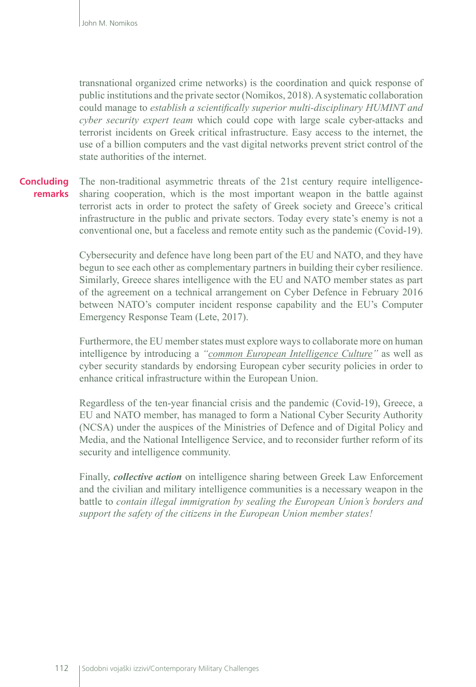transnational organized crime networks) is the coordination and quick response of public institutions and the private sector (Nomikos, 2018). A systematic collaboration could manage to *establish a scientifically superior multi-disciplinary HUMINT and cyber security expert team* which could cope with large scale cyber-attacks and terrorist incidents on Greek critical infrastructure. Easy access to the internet, the use of a billion computers and the vast digital networks prevent strict control of the state authorities of the internet.

#### The non-traditional asymmetric threats of the 21st century require intelligencesharing cooperation, which is the most important weapon in the battle against terrorist acts in order to protect the safety of Greek society and Greece's critical infrastructure in the public and private sectors. Today every state's enemy is not a conventional one, but a faceless and remote entity such as the pandemic (Covid-19). **Concluding remarks**

Cybersecurity and defence have long been part of the EU and NATO, and they have begun to see each other as complementary partners in building their cyber resilience. Similarly, Greece shares intelligence with the EU and NATO member states as part of the agreement on a technical arrangement on Cyber Defence in February 2016 between NATO's computer incident response capability and the EU's Computer Emergency Response Team (Lete, 2017).

Furthermore, the EU member states must explore ways to collaborate more on human intelligence by introducing a *"common European Intelligence Culture"* as well as cyber security standards by endorsing European cyber security policies in order to enhance critical infrastructure within the European Union.

Regardless of the ten-year financial crisis and the pandemic (Covid-19), Greece, a EU and NATO member, has managed to form a National Cyber Security Authority (NCSA) under the auspices of the Ministries of Defence and of Digital Policy and Media, and the National Intelligence Service, and to reconsider further reform of its security and intelligence community.

Finally, *collective action* on intelligence sharing between Greek Law Enforcement and the civilian and military intelligence communities is a necessary weapon in the battle to *contain illegal immigration by sealing the European Union's borders and support the safety of the citizens in the European Union member states!*